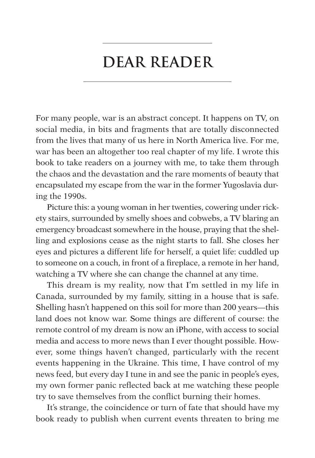## **Dear Reader**

For many people, war is an abstract concept. It happens on TV, on social media, in bits and fragments that are totally disconnected from the lives that many of us here in North America live. For me, war has been an altogether too real chapter of my life. I wrote this book to take readers on a journey with me, to take them through the chaos and the devastation and the rare moments of beauty that encapsulated my escape from the war in the former Yugoslavia during the 1990s.

Picture this: a young woman in her twenties, cowering under rickety stairs, surrounded by smelly shoes and cobwebs, a TV blaring an emergency broadcast somewhere in the house, praying that the shelling and explosions cease as the night starts to fall. She closes her eyes and pictures a different life for herself, a quiet life: cuddled up to someone on a couch, in front of a fireplace, a remote in her hand, watching a TV where she can change the channel at any time.

This dream is my reality, now that I'm settled in my life in Canada, surrounded by my family, sitting in a house that is safe. Shelling hasn't happened on this soil for more than 200 years—this land does not know war. Some things are different of course: the remote control of my dream is now an iPhone, with access to social media and access to more news than I ever thought possible. However, some things haven't changed, particularly with the recent events happening in the Ukraine. This time, I have control of my news feed, but every day I tune in and see the panic in people's eyes, my own former panic reflected back at me watching these people try to save themselves from the conflict burning their homes.

It's strange, the coincidence or turn of fate that should have my book ready to publish when current events threaten to bring me